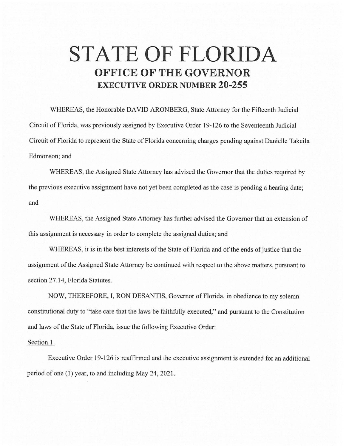## **STATE OF FLORIDA OFFICE OF THE GOVERNOR EXECUTIVE ORDER NUMBER 20-255**

WHEREAS, the Honorable DAVID ARONBERG, State Attorney for the Fifteenth Judicial Circuit of Florida, was previously assigned by Executive Order 19-126 to the Seventeenth Judicial Circuit of Florida to represent the State of Florida concerning charges pending against Danielle Takeila Edmonson; and

WHEREAS, the Assigned State Attorney has advised the Governor that the duties required by the previous executive assignment have not yet been completed as the case is pending a hearing date; and

WHEREAS, the Assigned State Attorney has further advised the Governor that an extension of this assignment is necessary in order to complete the assigned duties; and

WHEREAS, it is in the best interests of the State of Florida and of the ends of justice that the assignment of the Assigned State Attorney be continued with respect to the above matters, pursuant to section 27.14, Florida Statutes.

NOW, THEREFORE, I, RON DESANTIS, Governor of Florida, in obedience to my solemn constitutional duty to "take care that the laws be faithfully executed," and pursuant to the Constitution and laws of the State of Florida, issue the following Executive Order:

## Section 1.

Executive Order 19-126 is reaffirmed and the executive assignment is extended for an additional period of one (I) year, to and including May 24, 2021.